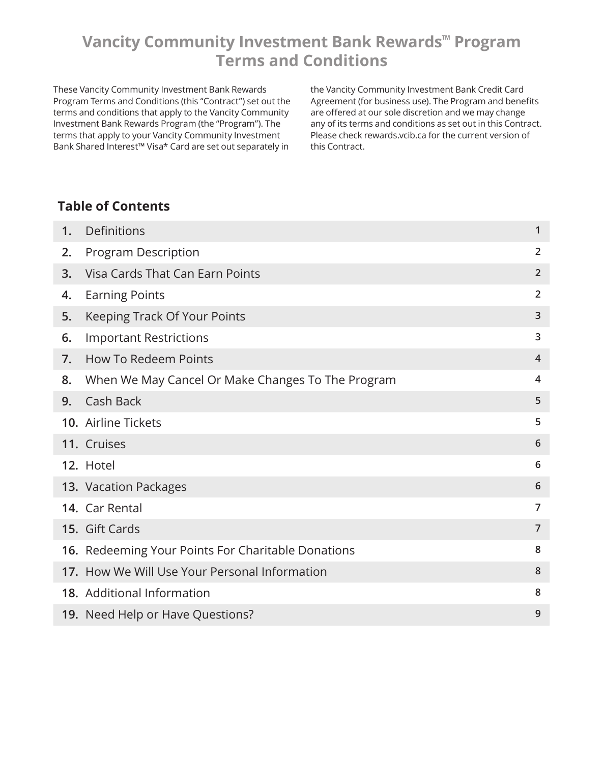## **Vancity Community Investment Bank Rewards™ Program Terms and Conditions**

These Vancity Community Investment Bank Rewards Program Terms and Conditions (this "Contract") set out the terms and conditions that apply to the Vancity Community Investment Bank Rewards Program (the "Program"). The terms that apply to your Vancity Community Investment Bank Shared Interest™ Visa\* Card are set out separately in

the Vancity Community Investment Bank Credit Card Agreement (for business use). The Program and benefits are offered at our sole discretion and we may change any of its terms and conditions as set out in this Contract. Please check rewards.vcib.ca for the current version of this Contract.

#### **Table of Contents**

| 1. | Definitions                                        | 1              |
|----|----------------------------------------------------|----------------|
| 2. | Program Description                                | $\overline{2}$ |
| 3. | Visa Cards That Can Earn Points                    | $\overline{2}$ |
| 4. | <b>Earning Points</b>                              | $\overline{2}$ |
| 5. | Keeping Track Of Your Points                       | 3              |
| 6. | <b>Important Restrictions</b>                      | 3              |
| 7. | <b>How To Redeem Points</b>                        | $\overline{4}$ |
| 8. | When We May Cancel Or Make Changes To The Program  | 4              |
| 9. | Cash Back                                          | 5              |
|    | 10. Airline Tickets                                | 5              |
|    | 11. Cruises                                        | 6              |
|    | 12. Hotel                                          | 6              |
|    | 13. Vacation Packages                              | 6              |
|    | 14. Car Rental                                     | 7              |
|    | 15. Gift Cards                                     | $\overline{7}$ |
|    | 16. Redeeming Your Points For Charitable Donations | 8              |
|    | 17. How We Will Use Your Personal Information      | 8              |
|    | 18. Additional Information                         | 8              |
|    | 19. Need Help or Have Questions?                   | 9              |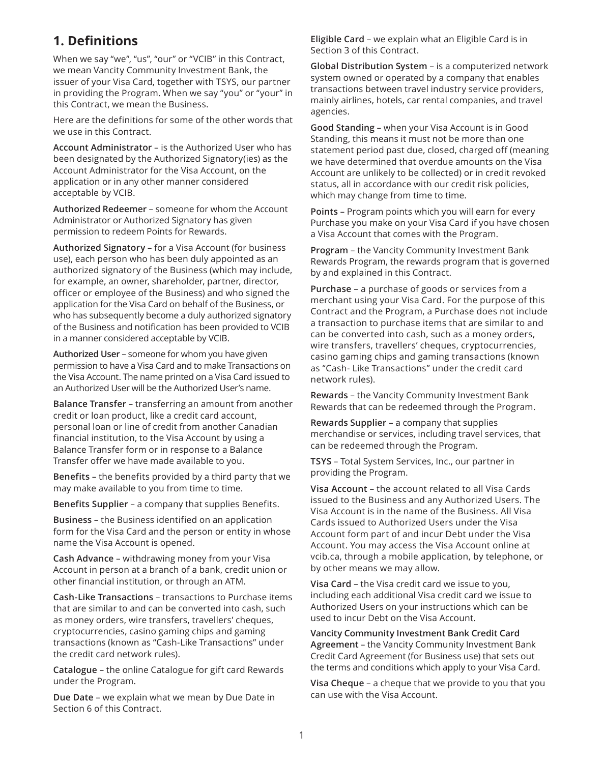#### **1. Definitions**

When we say "we", "us", "our" or "VCIB" in this Contract, we mean Vancity Community Investment Bank, the issuer of your Visa Card, together with TSYS, our partner in providing the Program. When we say "you" or "your" in this Contract, we mean the Business.

Here are the definitions for some of the other words that we use in this Contract.

**Account Administrator** – is the Authorized User who has been designated by the Authorized Signatory(ies) as the Account Administrator for the Visa Account, on the application or in any other manner considered acceptable by VCIB.

**Authorized Redeemer** – someone for whom the Account Administrator or Authorized Signatory has given permission to redeem Points for Rewards.

**Authorized Signatory** – for a Visa Account (for business use), each person who has been duly appointed as an authorized signatory of the Business (which may include, for example, an owner, shareholder, partner, director, officer or employee of the Business) and who signed the application for the Visa Card on behalf of the Business, or who has subsequently become a duly authorized signatory of the Business and notification has been provided to VCIB in a manner considered acceptable by VCIB.

**Authorized User** – someone for whom you have given permission to have a Visa Card and to make Transactions on the Visa Account. The name printed on a Visa Card issued to an Authorized User will be the Authorized User's name.

**Balance Transfer** – transferring an amount from another credit or loan product, like a credit card account, personal loan or line of credit from another Canadian financial institution, to the Visa Account by using a Balance Transfer form or in response to a Balance Transfer offer we have made available to you.

**Benefits** – the benefits provided by a third party that we may make available to you from time to time.

**Benefits Supplier** – a company that supplies Benefits.

**Business** – the Business identified on an application form for the Visa Card and the person or entity in whose name the Visa Account is opened.

**Cash Advance** – withdrawing money from your Visa Account in person at a branch of a bank, credit union or other financial institution, or through an ATM.

**Cash-Like Transactions** – transactions to Purchase items that are similar to and can be converted into cash, such as money orders, wire transfers, travellers' cheques, cryptocurrencies, casino gaming chips and gaming transactions (known as "Cash-Like Transactions" under the credit card network rules).

**Catalogue** – the online Catalogue for gift card Rewards under the Program.

**Due Date** – we explain what we mean by Due Date in Section 6 of this Contract.

**Eligible Card** – we explain what an Eligible Card is in Section 3 of this Contract.

**Global Distribution System** – is a computerized network system owned or operated by a company that enables transactions between travel industry service providers, mainly airlines, hotels, car rental companies, and travel agencies.

**Good Standing** – when your Visa Account is in Good Standing, this means it must not be more than one statement period past due, closed, charged off (meaning we have determined that overdue amounts on the Visa Account are unlikely to be collected) or in credit revoked status, all in accordance with our credit risk policies, which may change from time to time.

**Points** – Program points which you will earn for every Purchase you make on your Visa Card if you have chosen a Visa Account that comes with the Program.

**Program** – the Vancity Community Investment Bank Rewards Program, the rewards program that is governed by and explained in this Contract.

**Purchase** – a purchase of goods or services from a merchant using your Visa Card. For the purpose of this Contract and the Program, a Purchase does not include a transaction to purchase items that are similar to and can be converted into cash, such as a money orders, wire transfers, travellers' cheques, cryptocurrencies, casino gaming chips and gaming transactions (known as "Cash- Like Transactions" under the credit card network rules).

**Rewards** – the Vancity Community Investment Bank Rewards that can be redeemed through the Program.

**Rewards Supplier** – a company that supplies merchandise or services, including travel services, that can be redeemed through the Program.

**TSYS** – Total System Services, Inc., our partner in providing the Program.

**Visa Account** – the account related to all Visa Cards issued to the Business and any Authorized Users. The Visa Account is in the name of the Business. All Visa Cards issued to Authorized Users under the Visa Account form part of and incur Debt under the Visa Account. You may access the Visa Account online at vcib.ca, through a mobile application, by telephone, or by other means we may allow.

**Visa Card** – the Visa credit card we issue to you, including each additional Visa credit card we issue to Authorized Users on your instructions which can be used to incur Debt on the Visa Account.

**Vancity Community Investment Bank Credit Card Agreement** – the Vancity Community Investment Bank Credit Card Agreement (for Business use) that sets out the terms and conditions which apply to your Visa Card.

**Visa Cheque** – a cheque that we provide to you that you can use with the Visa Account.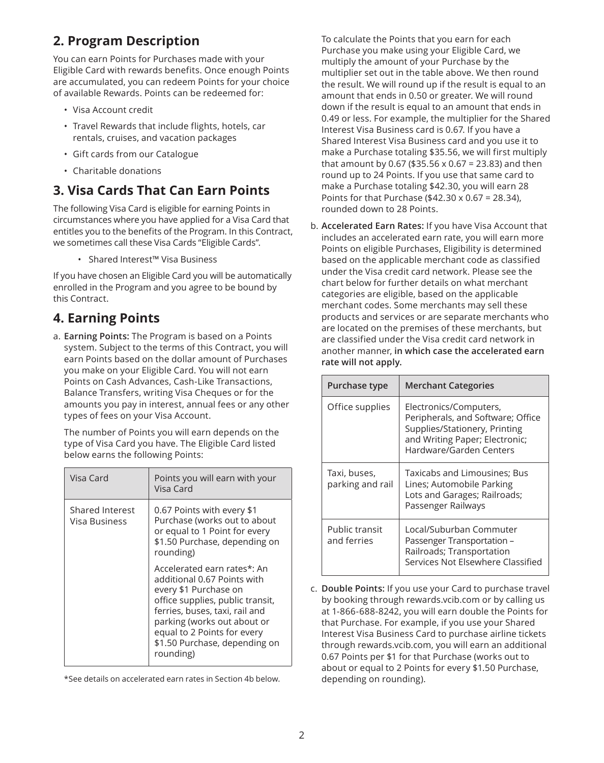#### **2. Program Description**

You can earn Points for Purchases made with your Eligible Card with rewards benefits. Once enough Points are accumulated, you can redeem Points for your choice of available Rewards. Points can be redeemed for:

- Visa Account credit
- Travel Rewards that include flights, hotels, car rentals, cruises, and vacation packages
- Gift cards from our Catalogue
- Charitable donations

#### **3. Visa Cards That Can Earn Points**

The following Visa Card is eligible for earning Points in circumstances where you have applied for a Visa Card that entitles you to the benefits of the Program. In this Contract, we sometimes call these Visa Cards "Eligible Cards".

• Shared Interest™ Visa Business

If you have chosen an Eligible Card you will be automatically enrolled in the Program and you agree to be bound by this Contract.

#### **4. Earning Points**

a. **Earning Points:** The Program is based on a Points system. Subject to the terms of this Contract, you will earn Points based on the dollar amount of Purchases you make on your Eligible Card. You will not earn Points on Cash Advances, Cash-Like Transactions, Balance Transfers, writing Visa Cheques or for the amounts you pay in interest, annual fees or any other types of fees on your Visa Account.

The number of Points you will earn depends on the type of Visa Card you have. The Eligible Card listed below earns the following Points:

| Visa Card                        | Points you will earn with your<br>Visa Card                                                                                                                                                                                                                           |
|----------------------------------|-----------------------------------------------------------------------------------------------------------------------------------------------------------------------------------------------------------------------------------------------------------------------|
| Shared Interest<br>Visa Business | 0.67 Points with every \$1<br>Purchase (works out to about<br>or equal to 1 Point for every<br>\$1.50 Purchase, depending on<br>rounding)                                                                                                                             |
|                                  | Accelerated earn rates*: An<br>additional 0.67 Points with<br>every \$1 Purchase on<br>office supplies, public transit,<br>ferries, buses, taxi, rail and<br>parking (works out about or<br>equal to 2 Points for every<br>\$1.50 Purchase, depending on<br>rounding) |

\*See details on accelerated earn rates in Section 4b below.

To calculate the Points that you earn for each Purchase you make using your Eligible Card, we multiply the amount of your Purchase by the multiplier set out in the table above. We then round the result. We will round up if the result is equal to an amount that ends in 0.50 or greater. We will round down if the result is equal to an amount that ends in 0.49 or less. For example, the multiplier for the Shared Interest Visa Business card is 0.67. If you have a Shared Interest Visa Business card and you use it to make a Purchase totaling \$35.56, we will first multiply that amount by 0.67 (\$35.56 x 0.67 = 23.83) and then round up to 24 Points. If you use that same card to make a Purchase totaling \$42.30, you will earn 28 Points for that Purchase (\$42.30 x 0.67 = 28.34), rounded down to 28 Points.

b. **Accelerated Earn Rates:** If you have Visa Account that includes an accelerated earn rate, you will earn more Points on eligible Purchases, Eligibility is determined based on the applicable merchant code as classified under the Visa credit card network. Please see the chart below for further details on what merchant categories are eligible, based on the applicable merchant codes. Some merchants may sell these products and services or are separate merchants who are located on the premises of these merchants, but are classified under the Visa credit card network in another manner, **in which case the accelerated earn rate will not apply.**

| Purchase type                    | <b>Merchant Categories</b>                                                                                                                                |
|----------------------------------|-----------------------------------------------------------------------------------------------------------------------------------------------------------|
| Office supplies                  | Electronics/Computers,<br>Peripherals, and Software; Office<br>Supplies/Stationery, Printing<br>and Writing Paper; Electronic;<br>Hardware/Garden Centers |
| Taxi, buses,<br>parking and rail | Taxicabs and Limousines; Bus<br>Lines; Automobile Parking<br>Lots and Garages; Railroads;<br>Passenger Railways                                           |
| Public transit<br>and ferries    | Local/Suburban Commuter<br>Passenger Transportation -<br>Railroads; Transportation<br>Services Not Elsewhere Classified                                   |

c. **Double Points:** If you use your Card to purchase travel by booking through rewards.vcib.com or by calling us at 1-866-688-8242, you will earn double the Points for that Purchase. For example, if you use your Shared Interest Visa Business Card to purchase airline tickets through rewards.vcib.com, you will earn an additional 0.67 Points per \$1 for that Purchase (works out to about or equal to 2 Points for every \$1.50 Purchase, depending on rounding).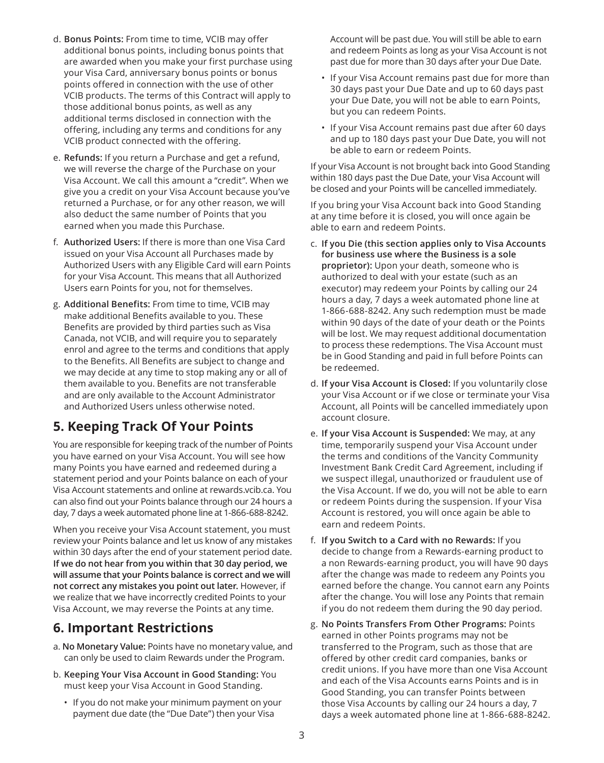- d. **Bonus Points:** From time to time, VCIB may offer additional bonus points, including bonus points that are awarded when you make your first purchase using your Visa Card, anniversary bonus points or bonus points offered in connection with the use of other VCIB products. The terms of this Contract will apply to those additional bonus points, as well as any additional terms disclosed in connection with the offering, including any terms and conditions for any VCIB product connected with the offering.
- e. **Refunds:** If you return a Purchase and get a refund, we will reverse the charge of the Purchase on your Visa Account. We call this amount a "credit". When we give you a credit on your Visa Account because you've returned a Purchase, or for any other reason, we will also deduct the same number of Points that you earned when you made this Purchase.
- f. **Authorized Users:** If there is more than one Visa Card issued on your Visa Account all Purchases made by Authorized Users with any Eligible Card will earn Points for your Visa Account. This means that all Authorized Users earn Points for you, not for themselves.
- g. **Additional Benefits:** From time to time, VCIB may make additional Benefits available to you. These Benefits are provided by third parties such as Visa Canada, not VCIB, and will require you to separately enrol and agree to the terms and conditions that apply to the Benefits. All Benefits are subject to change and we may decide at any time to stop making any or all of them available to you. Benefits are not transferable and are only available to the Account Administrator and Authorized Users unless otherwise noted.

#### **5. Keeping Track Of Your Points**

You are responsible for keeping track of the number of Points you have earned on your Visa Account. You will see how many Points you have earned and redeemed during a statement period and your Points balance on each of your Visa Account statements and online at rewards.vcib.ca. You can also find out your Points balance through our 24 hours a day, 7 days a week automated phone line at 1-866-688-8242.

When you receive your Visa Account statement, you must review your Points balance and let us know of any mistakes within 30 days after the end of your statement period date. **If we do not hear from you within that 30 day period, we will assume that your Points balance is correct and we will not correct any mistakes you point out later.** However, if we realize that we have incorrectly credited Points to your Visa Account, we may reverse the Points at any time.

#### **6. Important Restrictions**

- a. **No Monetary Value:** Points have no monetary value, and can only be used to claim Rewards under the Program.
- b. **Keeping Your Visa Account in Good Standing:** You must keep your Visa Account in Good Standing.
	- If you do not make your minimum payment on your payment due date (the "Due Date") then your Visa

Account will be past due. You will still be able to earn and redeem Points as long as your Visa Account is not past due for more than 30 days after your Due Date.

- If your Visa Account remains past due for more than 30 days past your Due Date and up to 60 days past your Due Date, you will not be able to earn Points, but you can redeem Points.
- If your Visa Account remains past due after 60 days and up to 180 days past your Due Date, you will not be able to earn or redeem Points.

If your Visa Account is not brought back into Good Standing within 180 days past the Due Date, your Visa Account will be closed and your Points will be cancelled immediately.

If you bring your Visa Account back into Good Standing at any time before it is closed, you will once again be able to earn and redeem Points.

- c. **If you Die (this section applies only to Visa Accounts for business use where the Business is a sole proprietor):** Upon your death, someone who is authorized to deal with your estate (such as an executor) may redeem your Points by calling our 24 hours a day, 7 days a week automated phone line at 1-866-688-8242. Any such redemption must be made within 90 days of the date of your death or the Points will be lost. We may request additional documentation to process these redemptions. The Visa Account must be in Good Standing and paid in full before Points can be redeemed.
- d. **If your Visa Account is Closed:** If you voluntarily close your Visa Account or if we close or terminate your Visa Account, all Points will be cancelled immediately upon account closure.
- e. **If your Visa Account is Suspended:** We may, at any time, temporarily suspend your Visa Account under the terms and conditions of the Vancity Community Investment Bank Credit Card Agreement, including if we suspect illegal, unauthorized or fraudulent use of the Visa Account. If we do, you will not be able to earn or redeem Points during the suspension. If your Visa Account is restored, you will once again be able to earn and redeem Points.
- f. **If you Switch to a Card with no Rewards:** If you decide to change from a Rewards-earning product to a non Rewards-earning product, you will have 90 days after the change was made to redeem any Points you earned before the change. You cannot earn any Points after the change. You will lose any Points that remain if you do not redeem them during the 90 day period.
- g. **No Points Transfers From Other Programs:** Points earned in other Points programs may not be transferred to the Program, such as those that are offered by other credit card companies, banks or credit unions. If you have more than one Visa Account and each of the Visa Accounts earns Points and is in Good Standing, you can transfer Points between those Visa Accounts by calling our 24 hours a day, 7 days a week automated phone line at 1-866-688-8242.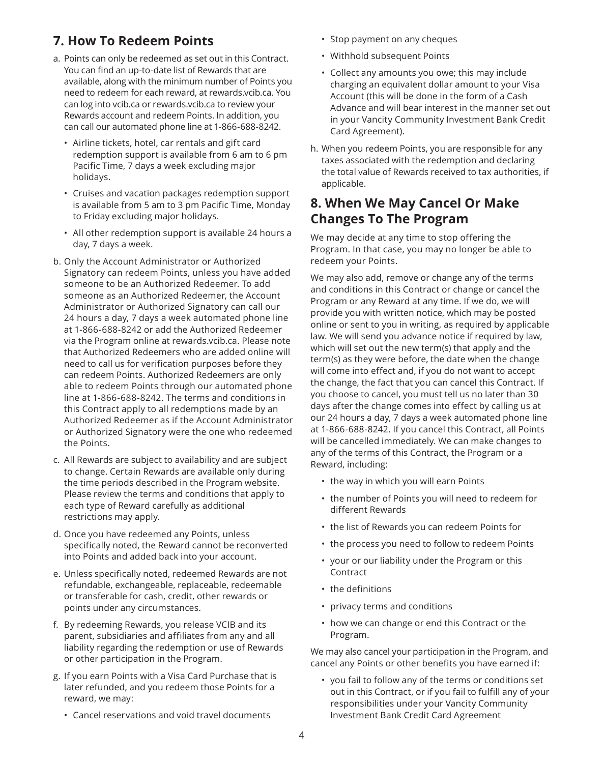#### **7. How To Redeem Points**

- a. Points can only be redeemed as set out in this Contract. You can find an up-to-date list of Rewards that are available, along with the minimum number of Points you need to redeem for each reward, at rewards.vcib.ca. You can log into vcib.ca or rewards.vcib.ca to review your Rewards account and redeem Points. In addition, you can call our automated phone line at 1-866-688-8242.
	- Airline tickets, hotel, car rentals and gift card redemption support is available from 6 am to 6 pm Pacific Time, 7 days a week excluding major holidays.
	- Cruises and vacation packages redemption support is available from 5 am to 3 pm Pacific Time, Monday to Friday excluding major holidays.
	- All other redemption support is available 24 hours a day, 7 days a week.
- b. Only the Account Administrator or Authorized Signatory can redeem Points, unless you have added someone to be an Authorized Redeemer. To add someone as an Authorized Redeemer, the Account Administrator or Authorized Signatory can call our 24 hours a day, 7 days a week automated phone line at 1-866-688-8242 or add the Authorized Redeemer via the Program online at rewards.vcib.ca. Please note that Authorized Redeemers who are added online will need to call us for verification purposes before they can redeem Points. Authorized Redeemers are only able to redeem Points through our automated phone line at 1-866-688-8242. The terms and conditions in this Contract apply to all redemptions made by an Authorized Redeemer as if the Account Administrator or Authorized Signatory were the one who redeemed the Points.
- c. All Rewards are subject to availability and are subject to change. Certain Rewards are available only during the time periods described in the Program website. Please review the terms and conditions that apply to each type of Reward carefully as additional restrictions may apply.
- d. Once you have redeemed any Points, unless specifically noted, the Reward cannot be reconverted into Points and added back into your account.
- e. Unless specifically noted, redeemed Rewards are not refundable, exchangeable, replaceable, redeemable or transferable for cash, credit, other rewards or points under any circumstances.
- f. By redeeming Rewards, you release VCIB and its parent, subsidiaries and affiliates from any and all liability regarding the redemption or use of Rewards or other participation in the Program.
- g. If you earn Points with a Visa Card Purchase that is later refunded, and you redeem those Points for a reward, we may:
	- Cancel reservations and void travel documents
- Stop payment on any cheques
- Withhold subsequent Points
- Collect any amounts you owe; this may include charging an equivalent dollar amount to your Visa Account (this will be done in the form of a Cash Advance and will bear interest in the manner set out in your Vancity Community Investment Bank Credit Card Agreement).
- h. When you redeem Points, you are responsible for any taxes associated with the redemption and declaring the total value of Rewards received to tax authorities, if applicable.

#### **8. When We May Cancel Or Make Changes To The Program**

We may decide at any time to stop offering the Program. In that case, you may no longer be able to redeem your Points.

We may also add, remove or change any of the terms and conditions in this Contract or change or cancel the Program or any Reward at any time. If we do, we will provide you with written notice, which may be posted online or sent to you in writing, as required by applicable law. We will send you advance notice if required by law, which will set out the new term(s) that apply and the term(s) as they were before, the date when the change will come into effect and, if you do not want to accept the change, the fact that you can cancel this Contract. If you choose to cancel, you must tell us no later than 30 days after the change comes into effect by calling us at our 24 hours a day, 7 days a week automated phone line at 1-866-688-8242. If you cancel this Contract, all Points will be cancelled immediately. We can make changes to any of the terms of this Contract, the Program or a Reward, including:

- the way in which you will earn Points
- the number of Points you will need to redeem for different Rewards
- the list of Rewards you can redeem Points for
- the process you need to follow to redeem Points
- your or our liability under the Program or this Contract
- the definitions
- privacy terms and conditions
- how we can change or end this Contract or the Program.

We may also cancel your participation in the Program, and cancel any Points or other benefits you have earned if:

• you fail to follow any of the terms or conditions set out in this Contract, or if you fail to fulfill any of your responsibilities under your Vancity Community Investment Bank Credit Card Agreement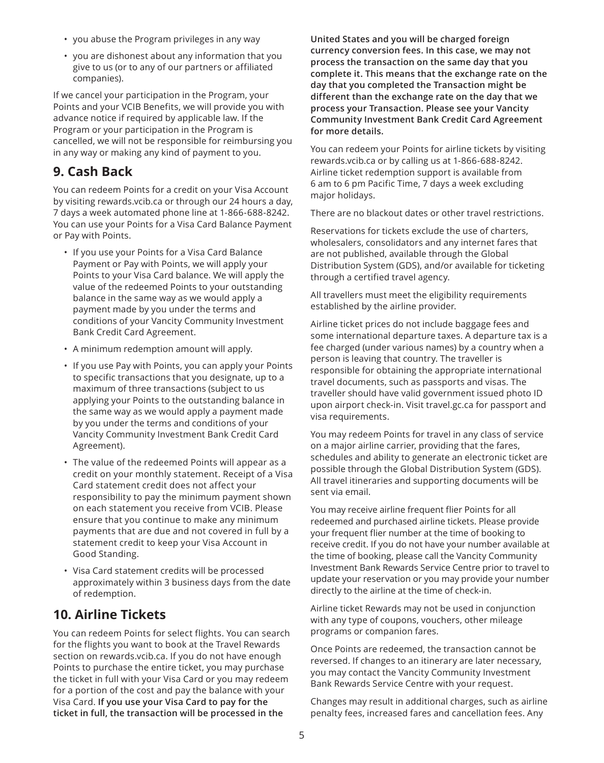- you abuse the Program privileges in any way
- you are dishonest about any information that you give to us (or to any of our partners or affiliated companies).

If we cancel your participation in the Program, your Points and your VCIB Benefits, we will provide you with advance notice if required by applicable law. If the Program or your participation in the Program is cancelled, we will not be responsible for reimbursing you in any way or making any kind of payment to you.

### **9. Cash Back**

You can redeem Points for a credit on your Visa Account by visiting rewards.vcib.ca or through our 24 hours a day, 7 days a week automated phone line at 1-866-688-8242. You can use your Points for a Visa Card Balance Payment or Pay with Points.

- If you use your Points for a Visa Card Balance Payment or Pay with Points, we will apply your Points to your Visa Card balance. We will apply the value of the redeemed Points to your outstanding balance in the same way as we would apply a payment made by you under the terms and conditions of your Vancity Community Investment Bank Credit Card Agreement.
- A minimum redemption amount will apply.
- If you use Pay with Points, you can apply your Points to specific transactions that you designate, up to a maximum of three transactions (subject to us applying your Points to the outstanding balance in the same way as we would apply a payment made by you under the terms and conditions of your Vancity Community Investment Bank Credit Card Agreement).
- The value of the redeemed Points will appear as a credit on your monthly statement. Receipt of a Visa Card statement credit does not affect your responsibility to pay the minimum payment shown on each statement you receive from VCIB. Please ensure that you continue to make any minimum payments that are due and not covered in full by a statement credit to keep your Visa Account in Good Standing.
- Visa Card statement credits will be processed approximately within 3 business days from the date of redemption.

#### **10. Airline Tickets**

You can redeem Points for select flights. You can search for the flights you want to book at the Travel Rewards section on rewards.vcib.ca. If you do not have enough Points to purchase the entire ticket, you may purchase the ticket in full with your Visa Card or you may redeem for a portion of the cost and pay the balance with your Visa Card. **If you use your Visa Card to pay for the ticket in full, the transaction will be processed in the** 

**United States and you will be charged foreign currency conversion fees. In this case, we may not process the transaction on the same day that you complete it. This means that the exchange rate on the day that you completed the Transaction might be different than the exchange rate on the day that we process your Transaction. Please see your Vancity Community Investment Bank Credit Card Agreement for more details.**

You can redeem your Points for airline tickets by visiting rewards.vcib.ca or by calling us at 1-866-688-8242. Airline ticket redemption support is available from 6 am to 6 pm Pacific Time, 7 days a week excluding major holidays.

There are no blackout dates or other travel restrictions.

Reservations for tickets exclude the use of charters, wholesalers, consolidators and any internet fares that are not published, available through the Global Distribution System (GDS), and/or available for ticketing through a certified travel agency.

All travellers must meet the eligibility requirements established by the airline provider.

Airline ticket prices do not include baggage fees and some international departure taxes. A departure tax is a fee charged (under various names) by a country when a person is leaving that country. The traveller is responsible for obtaining the appropriate international travel documents, such as passports and visas. The traveller should have valid government issued photo ID upon airport check-in. Visit travel.gc.ca for passport and visa requirements.

You may redeem Points for travel in any class of service on a major airline carrier, providing that the fares, schedules and ability to generate an electronic ticket are possible through the Global Distribution System (GDS). All travel itineraries and supporting documents will be sent via email.

You may receive airline frequent flier Points for all redeemed and purchased airline tickets. Please provide your frequent flier number at the time of booking to receive credit. If you do not have your number available at the time of booking, please call the Vancity Community Investment Bank Rewards Service Centre prior to travel to update your reservation or you may provide your number directly to the airline at the time of check-in.

Airline ticket Rewards may not be used in conjunction with any type of coupons, vouchers, other mileage programs or companion fares.

Once Points are redeemed, the transaction cannot be reversed. If changes to an itinerary are later necessary, you may contact the Vancity Community Investment Bank Rewards Service Centre with your request.

Changes may result in additional charges, such as airline penalty fees, increased fares and cancellation fees. Any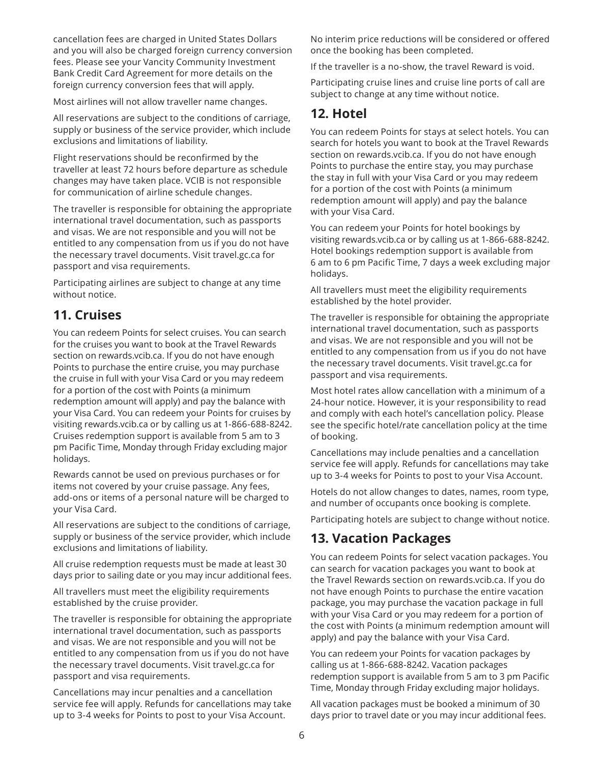cancellation fees are charged in United States Dollars and you will also be charged foreign currency conversion fees. Please see your Vancity Community Investment Bank Credit Card Agreement for more details on the foreign currency conversion fees that will apply.

Most airlines will not allow traveller name changes.

All reservations are subject to the conditions of carriage, supply or business of the service provider, which include exclusions and limitations of liability.

Flight reservations should be reconfirmed by the traveller at least 72 hours before departure as schedule changes may have taken place. VCIB is not responsible for communication of airline schedule changes.

The traveller is responsible for obtaining the appropriate international travel documentation, such as passports and visas. We are not responsible and you will not be entitled to any compensation from us if you do not have the necessary travel documents. Visit travel.gc.ca for passport and visa requirements.

Participating airlines are subject to change at any time without notice.

#### **11. Cruises**

You can redeem Points for select cruises. You can search for the cruises you want to book at the Travel Rewards section on rewards.vcib.ca. If you do not have enough Points to purchase the entire cruise, you may purchase the cruise in full with your Visa Card or you may redeem for a portion of the cost with Points (a minimum redemption amount will apply) and pay the balance with your Visa Card. You can redeem your Points for cruises by visiting rewards.vcib.ca or by calling us at 1-866-688-8242. Cruises redemption support is available from 5 am to 3 pm Pacific Time, Monday through Friday excluding major holidays.

Rewards cannot be used on previous purchases or for items not covered by your cruise passage. Any fees, add-ons or items of a personal nature will be charged to your Visa Card.

All reservations are subject to the conditions of carriage, supply or business of the service provider, which include exclusions and limitations of liability.

All cruise redemption requests must be made at least 30 days prior to sailing date or you may incur additional fees.

All travellers must meet the eligibility requirements established by the cruise provider.

The traveller is responsible for obtaining the appropriate international travel documentation, such as passports and visas. We are not responsible and you will not be entitled to any compensation from us if you do not have the necessary travel documents. Visit travel.gc.ca for passport and visa requirements.

Cancellations may incur penalties and a cancellation service fee will apply. Refunds for cancellations may take up to 3-4 weeks for Points to post to your Visa Account.

No interim price reductions will be considered or offered once the booking has been completed.

If the traveller is a no-show, the travel Reward is void.

Participating cruise lines and cruise line ports of call are subject to change at any time without notice.

#### **12. Hotel**

You can redeem Points for stays at select hotels. You can search for hotels you want to book at the Travel Rewards section on rewards.vcib.ca. If you do not have enough Points to purchase the entire stay, you may purchase the stay in full with your Visa Card or you may redeem for a portion of the cost with Points (a minimum redemption amount will apply) and pay the balance with your Visa Card.

You can redeem your Points for hotel bookings by visiting rewards.vcib.ca or by calling us at 1-866-688-8242. Hotel bookings redemption support is available from 6 am to 6 pm Pacific Time, 7 days a week excluding major holidays.

All travellers must meet the eligibility requirements established by the hotel provider.

The traveller is responsible for obtaining the appropriate international travel documentation, such as passports and visas. We are not responsible and you will not be entitled to any compensation from us if you do not have the necessary travel documents. Visit travel.gc.ca for passport and visa requirements.

Most hotel rates allow cancellation with a minimum of a 24-hour notice. However, it is your responsibility to read and comply with each hotel's cancellation policy. Please see the specific hotel/rate cancellation policy at the time of booking.

Cancellations may include penalties and a cancellation service fee will apply. Refunds for cancellations may take up to 3-4 weeks for Points to post to your Visa Account.

Hotels do not allow changes to dates, names, room type, and number of occupants once booking is complete.

Participating hotels are subject to change without notice.

#### **13. Vacation Packages**

You can redeem Points for select vacation packages. You can search for vacation packages you want to book at the Travel Rewards section on rewards.vcib.ca. If you do not have enough Points to purchase the entire vacation package, you may purchase the vacation package in full with your Visa Card or you may redeem for a portion of the cost with Points (a minimum redemption amount will apply) and pay the balance with your Visa Card.

You can redeem your Points for vacation packages by calling us at 1-866-688-8242. Vacation packages redemption support is available from 5 am to 3 pm Pacific Time, Monday through Friday excluding major holidays.

All vacation packages must be booked a minimum of 30 days prior to travel date or you may incur additional fees.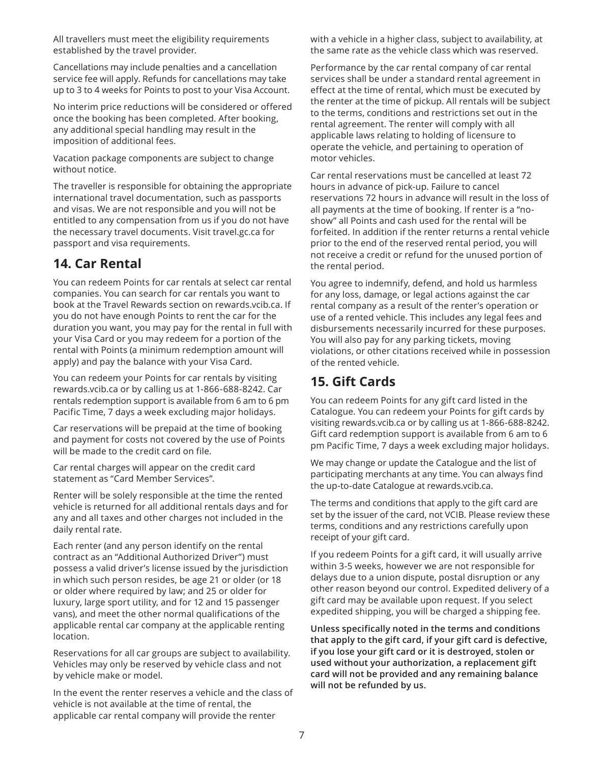All travellers must meet the eligibility requirements established by the travel provider.

Cancellations may include penalties and a cancellation service fee will apply. Refunds for cancellations may take up to 3 to 4 weeks for Points to post to your Visa Account.

No interim price reductions will be considered or offered once the booking has been completed. After booking, any additional special handling may result in the imposition of additional fees.

Vacation package components are subject to change without notice.

The traveller is responsible for obtaining the appropriate international travel documentation, such as passports and visas. We are not responsible and you will not be entitled to any compensation from us if you do not have the necessary travel documents. Visit travel.gc.ca for passport and visa requirements.

#### **14. Car Rental**

You can redeem Points for car rentals at select car rental companies. You can search for car rentals you want to book at the Travel Rewards section on rewards.vcib.ca. If you do not have enough Points to rent the car for the duration you want, you may pay for the rental in full with your Visa Card or you may redeem for a portion of the rental with Points (a minimum redemption amount will apply) and pay the balance with your Visa Card.

You can redeem your Points for car rentals by visiting rewards.vcib.ca or by calling us at 1-866-688-8242. Car rentals redemption support is available from 6 am to 6 pm Pacific Time, 7 days a week excluding major holidays.

Car reservations will be prepaid at the time of booking and payment for costs not covered by the use of Points will be made to the credit card on file.

Car rental charges will appear on the credit card statement as "Card Member Services".

Renter will be solely responsible at the time the rented vehicle is returned for all additional rentals days and for any and all taxes and other charges not included in the daily rental rate.

Each renter (and any person identify on the rental contract as an "Additional Authorized Driver") must possess a valid driver's license issued by the jurisdiction in which such person resides, be age 21 or older (or 18 or older where required by law; and 25 or older for luxury, large sport utility, and for 12 and 15 passenger vans), and meet the other normal qualifications of the applicable rental car company at the applicable renting location.

Reservations for all car groups are subject to availability. Vehicles may only be reserved by vehicle class and not by vehicle make or model.

In the event the renter reserves a vehicle and the class of vehicle is not available at the time of rental, the applicable car rental company will provide the renter

with a vehicle in a higher class, subject to availability, at the same rate as the vehicle class which was reserved.

Performance by the car rental company of car rental services shall be under a standard rental agreement in effect at the time of rental, which must be executed by the renter at the time of pickup. All rentals will be subject to the terms, conditions and restrictions set out in the rental agreement. The renter will comply with all applicable laws relating to holding of licensure to operate the vehicle, and pertaining to operation of motor vehicles.

Car rental reservations must be cancelled at least 72 hours in advance of pick-up. Failure to cancel reservations 72 hours in advance will result in the loss of all payments at the time of booking. If renter is a "noshow" all Points and cash used for the rental will be forfeited. In addition if the renter returns a rental vehicle prior to the end of the reserved rental period, you will not receive a credit or refund for the unused portion of the rental period.

You agree to indemnify, defend, and hold us harmless for any loss, damage, or legal actions against the car rental company as a result of the renter's operation or use of a rented vehicle. This includes any legal fees and disbursements necessarily incurred for these purposes. You will also pay for any parking tickets, moving violations, or other citations received while in possession of the rented vehicle.

#### **15. Gift Cards**

You can redeem Points for any gift card listed in the Catalogue. You can redeem your Points for gift cards by visiting rewards.vcib.ca or by calling us at 1-866-688-8242. Gift card redemption support is available from 6 am to 6 pm Pacific Time, 7 days a week excluding major holidays.

We may change or update the Catalogue and the list of participating merchants at any time. You can always find the up-to-date Catalogue at rewards.vcib.ca.

The terms and conditions that apply to the gift card are set by the issuer of the card, not VCIB. Please review these terms, conditions and any restrictions carefully upon receipt of your gift card.

If you redeem Points for a gift card, it will usually arrive within 3-5 weeks, however we are not responsible for delays due to a union dispute, postal disruption or any other reason beyond our control. Expedited delivery of a gift card may be available upon request. If you select expedited shipping, you will be charged a shipping fee.

**Unless specifically noted in the terms and conditions that apply to the gift card, if your gift card is defective, if you lose your gift card or it is destroyed, stolen or used without your authorization, a replacement gift card will not be provided and any remaining balance will not be refunded by us.**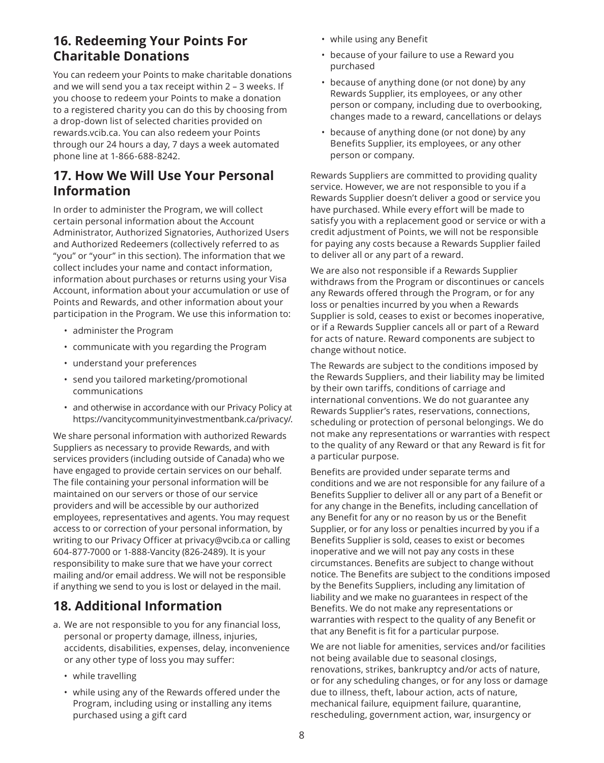#### **16. Redeeming Your Points For Charitable Donations**

You can redeem your Points to make charitable donations and we will send you a tax receipt within 2 – 3 weeks. If you choose to redeem your Points to make a donation to a registered charity you can do this by choosing from a drop-down list of selected charities provided on rewards.vcib.ca. You can also redeem your Points through our 24 hours a day, 7 days a week automated phone line at 1-866-688-8242.

#### **17. How We Will Use Your Personal Information**

In order to administer the Program, we will collect certain personal information about the Account Administrator, Authorized Signatories, Authorized Users and Authorized Redeemers (collectively referred to as "you" or "your" in this section). The information that we collect includes your name and contact information, information about purchases or returns using your Visa Account, information about your accumulation or use of Points and Rewards, and other information about your participation in the Program. We use this information to:

- administer the Program
- communicate with you regarding the Program
- understand your preferences
- send you tailored marketing/promotional communications
- and otherwise in accordance with our Privacy Policy at https://vancitycommunityinvestmentbank.ca/privacy/.

We share personal information with authorized Rewards Suppliers as necessary to provide Rewards, and with services providers (including outside of Canada) who we have engaged to provide certain services on our behalf. The file containing your personal information will be maintained on our servers or those of our service providers and will be accessible by our authorized employees, representatives and agents. You may request access to or correction of your personal information, by writing to our Privacy Officer at privacy@vcib.ca or calling 604-877-7000 or 1-888-Vancity (826-2489). It is your responsibility to make sure that we have your correct mailing and/or email address. We will not be responsible if anything we send to you is lost or delayed in the mail.

#### **18. Additional Information**

- a. We are not responsible to you for any financial loss, personal or property damage, illness, injuries, accidents, disabilities, expenses, delay, inconvenience or any other type of loss you may suffer:
	- while travelling
	- while using any of the Rewards offered under the Program, including using or installing any items purchased using a gift card
- while using any Benefit
- because of your failure to use a Reward you purchased
- because of anything done (or not done) by any Rewards Supplier, its employees, or any other person or company, including due to overbooking, changes made to a reward, cancellations or delays
- because of anything done (or not done) by any Benefits Supplier, its employees, or any other person or company.

Rewards Suppliers are committed to providing quality service. However, we are not responsible to you if a Rewards Supplier doesn't deliver a good or service you have purchased. While every effort will be made to satisfy you with a replacement good or service or with a credit adjustment of Points, we will not be responsible for paying any costs because a Rewards Supplier failed to deliver all or any part of a reward.

We are also not responsible if a Rewards Supplier withdraws from the Program or discontinues or cancels any Rewards offered through the Program, or for any loss or penalties incurred by you when a Rewards Supplier is sold, ceases to exist or becomes inoperative, or if a Rewards Supplier cancels all or part of a Reward for acts of nature. Reward components are subject to change without notice.

The Rewards are subject to the conditions imposed by the Rewards Suppliers, and their liability may be limited by their own tariffs, conditions of carriage and international conventions. We do not guarantee any Rewards Supplier's rates, reservations, connections, scheduling or protection of personal belongings. We do not make any representations or warranties with respect to the quality of any Reward or that any Reward is fit for a particular purpose.

Benefits are provided under separate terms and conditions and we are not responsible for any failure of a Benefits Supplier to deliver all or any part of a Benefit or for any change in the Benefits, including cancellation of any Benefit for any or no reason by us or the Benefit Supplier, or for any loss or penalties incurred by you if a Benefits Supplier is sold, ceases to exist or becomes inoperative and we will not pay any costs in these circumstances. Benefits are subject to change without notice. The Benefits are subject to the conditions imposed by the Benefits Suppliers, including any limitation of liability and we make no guarantees in respect of the Benefits. We do not make any representations or warranties with respect to the quality of any Benefit or that any Benefit is fit for a particular purpose.

We are not liable for amenities, services and/or facilities not being available due to seasonal closings, renovations, strikes, bankruptcy and/or acts of nature, or for any scheduling changes, or for any loss or damage due to illness, theft, labour action, acts of nature, mechanical failure, equipment failure, quarantine, rescheduling, government action, war, insurgency or